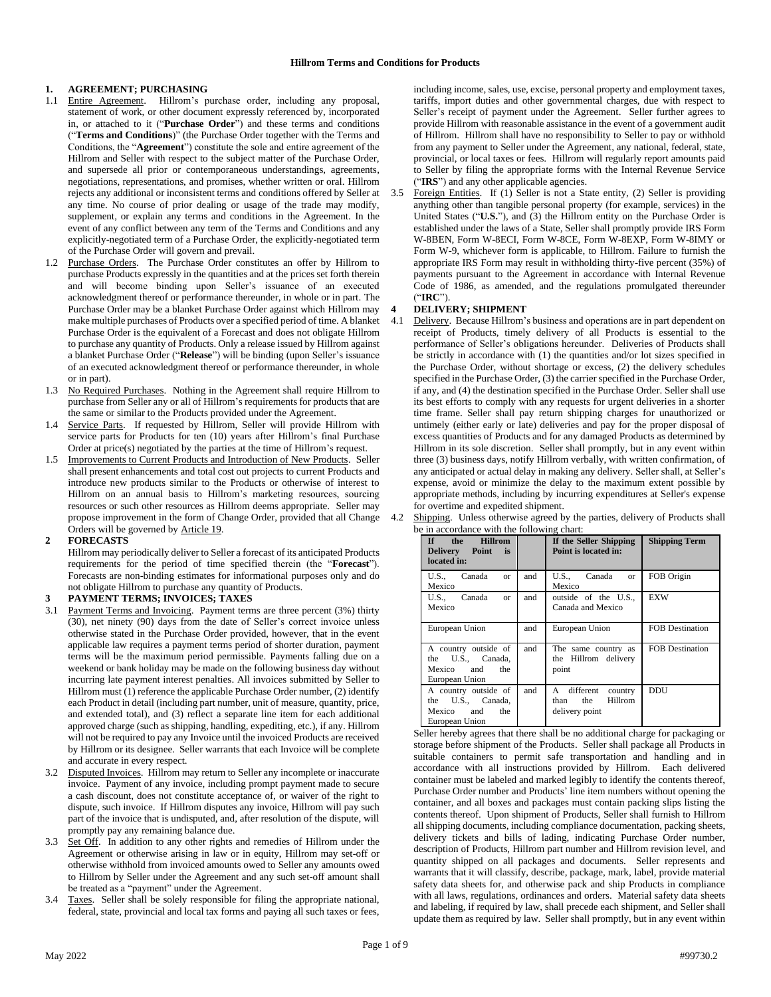## **1. AGREEMENT; PURCHASING**

- 1.1 Entire Agreement. Hillrom's purchase order, including any proposal, statement of work, or other document expressly referenced by, incorporated in, or attached to it ("**Purchase Order**") and these terms and conditions ("**Terms and Conditions**)" (the Purchase Order together with the Terms and Conditions, the "**Agreement**") constitute the sole and entire agreement of the Hillrom and Seller with respect to the subject matter of the Purchase Order, and supersede all prior or contemporaneous understandings, agreements, negotiations, representations, and promises, whether written or oral. Hillrom rejects any additional or inconsistent terms and conditions offered by Seller at any time. No course of prior dealing or usage of the trade may modify, supplement, or explain any terms and conditions in the Agreement. In the event of any conflict between any term of the Terms and Conditions and any explicitly-negotiated term of a Purchase Order, the explicitly-negotiated term of the Purchase Order will govern and prevail.
- 1.2 Purchase Orders. The Purchase Order constitutes an offer by Hillrom to purchase Products expressly in the quantities and at the prices set forth therein and will become binding upon Seller's issuance of an executed acknowledgment thereof or performance thereunder, in whole or in part. The Purchase Order may be a blanket Purchase Order against which Hillrom may make multiple purchases of Products over a specified period of time. A blanket Purchase Order is the equivalent of a Forecast and does not obligate Hillrom to purchase any quantity of Products. Only a release issued by Hillrom against a blanket Purchase Order ("**Release**") will be binding (upon Seller's issuance of an executed acknowledgment thereof or performance thereunder, in whole or in part).
- 1.3 No Required Purchases. Nothing in the Agreement shall require Hillrom to purchase from Seller any or all of Hillrom's requirements for products that are the same or similar to the Products provided under the Agreement.
- 1.4 Service Parts. If requested by Hillrom, Seller will provide Hillrom with service parts for Products for ten (10) years after Hillrom's final Purchase Order at price(s) negotiated by the parties at the time of Hillrom's request.
- 1.5 Improvements to Current Products and Introduction of New Products. Seller shall present enhancements and total cost out projects to current Products and introduce new products similar to the Products or otherwise of interest to Hillrom on an annual basis to Hillrom's marketing resources, sourcing resources or such other resources as Hillrom deems appropriate. Seller may propose improvement in the form of Change Order, provided that all Change Orders will be governed by Article 19.
- **2 FORECASTS**

Hillrom may periodically deliver to Seller a forecast of its anticipated Products requirements for the period of time specified therein (the "**Forecast**"). Forecasts are non-binding estimates for informational purposes only and do not obligate Hillrom to purchase any quantity of Products.

### **3 PAYMENT TERMS; INVOICES; TAXES**

- 3.1 Payment Terms and Invoicing. Payment terms are three percent (3%) thirty (30), net ninety (90) days from the date of Seller's correct invoice unless otherwise stated in the Purchase Order provided, however, that in the event applicable law requires a payment terms period of shorter duration, payment terms will be the maximum period permissible. Payments falling due on a weekend or bank holiday may be made on the following business day without incurring late payment interest penalties. All invoices submitted by Seller to Hillrom must (1) reference the applicable Purchase Order number, (2) identify each Product in detail (including part number, unit of measure, quantity, price, and extended total), and (3) reflect a separate line item for each additional approved charge (such as shipping, handling, expediting, etc.), if any. Hillrom will not be required to pay any Invoice until the invoiced Products are received by Hillrom or its designee. Seller warrants that each Invoice will be complete and accurate in every respect.
- 3.2 Disputed Invoices. Hillrom may return to Seller any incomplete or inaccurate invoice. Payment of any invoice, including prompt payment made to secure a cash discount, does not constitute acceptance of, or waiver of the right to dispute, such invoice. If Hillrom disputes any invoice, Hillrom will pay such part of the invoice that is undisputed, and, after resolution of the dispute, will promptly pay any remaining balance due.
- 3.3 Set Off. In addition to any other rights and remedies of Hillrom under the Agreement or otherwise arising in law or in equity, Hillrom may set-off or otherwise withhold from invoiced amounts owed to Seller any amounts owed to Hillrom by Seller under the Agreement and any such set-off amount shall be treated as a "payment" under the Agreement.
- Taxes. Seller shall be solely responsible for filing the appropriate national, federal, state, provincial and local tax forms and paying all such taxes or fees,

including income, sales, use, excise, personal property and employment taxes, tariffs, import duties and other governmental charges, due with respect to Seller's receipt of payment under the Agreement. Seller further agrees to provide Hillrom with reasonable assistance in the event of a government audit of Hillrom. Hillrom shall have no responsibility to Seller to pay or withhold from any payment to Seller under the Agreement, any national, federal, state, provincial, or local taxes or fees. Hillrom will regularly report amounts paid to Seller by filing the appropriate forms with the Internal Revenue Service ("**IRS**") and any other applicable agencies.

3.5 Foreign Entities. If (1) Seller is not a State entity, (2) Seller is providing anything other than tangible personal property (for example, services) in the United States ("**U.S.**"), and (3) the Hillrom entity on the Purchase Order is established under the laws of a State, Seller shall promptly provide IRS Form W-8BEN, Form W-8ECI, Form W-8CE, Form W-8EXP, Form W-8IMY or Form W-9, whichever form is applicable, to Hillrom. Failure to furnish the appropriate IRS Form may result in withholding thirty-five percent (35%) of payments pursuant to the Agreement in accordance with Internal Revenue Code of 1986, as amended, and the regulations promulgated thereunder ("**IRC**").

## **4 DELIVERY; SHIPMENT**

4.1 Delivery. Because Hillrom's business and operations are in part dependent on receipt of Products, timely delivery of all Products is essential to the performance of Seller's obligations hereunder. Deliveries of Products shall be strictly in accordance with (1) the quantities and/or lot sizes specified in the Purchase Order, without shortage or excess, (2) the delivery schedules specified in the Purchase Order, (3) the carrier specified in the Purchase Order, if any, and (4) the destination specified in the Purchase Order. Seller shall use its best efforts to comply with any requests for urgent deliveries in a shorter time frame. Seller shall pay return shipping charges for unauthorized or untimely (either early or late) deliveries and pay for the proper disposal of excess quantities of Products and for any damaged Products as determined by Hillrom in its sole discretion. Seller shall promptly, but in any event within three (3) business days, notify Hillrom verbally, with written confirmation, of any anticipated or actual delay in making any delivery. Seller shall, at Seller's expense, avoid or minimize the delay to the maximum extent possible by appropriate methods, including by incurring expenditures at Seller's expense for overtime and expedited shipment.

| the Hillrom<br>$\mathbf{If}$<br>Delivery Point is<br>located in:                 |     | If the Seller Shipping<br>Point is located in:                     | <b>Shipping Term</b>   |
|----------------------------------------------------------------------------------|-----|--------------------------------------------------------------------|------------------------|
| U.S., Canada<br><b>or</b><br>Mexico                                              | and | U.S., Canada<br><b>or</b><br>Mexico                                | FOB Origin             |
| U.S., Canada<br><b>or</b><br>Mexico                                              | and | outside of the U.S.,<br>Canada and Mexico                          | <b>EXW</b>             |
| European Union                                                                   | and | European Union                                                     | <b>FOB Destination</b> |
| A country outside of<br>the U.S., Canada,<br>Mexico and<br>the<br>European Union | and | The same country as<br>the Hillrom delivery<br>point               | <b>FOB Destination</b> |
| A country outside of<br>the U.S., Canada,<br>Mexico and<br>the<br>European Union | and | A different<br>country<br>Hillrom<br>the<br>than<br>delivery point | DDU                    |

Seller hereby agrees that there shall be no additional charge for packaging or storage before shipment of the Products. Seller shall package all Products in suitable containers to permit safe transportation and handling and in accordance with all instructions provided by Hillrom. Each delivered container must be labeled and marked legibly to identify the contents thereof, Purchase Order number and Products' line item numbers without opening the container, and all boxes and packages must contain packing slips listing the contents thereof. Upon shipment of Products, Seller shall furnish to Hillrom all shipping documents, including compliance documentation, packing sheets, delivery tickets and bills of lading, indicating Purchase Order number, description of Products, Hillrom part number and Hillrom revision level, and quantity shipped on all packages and documents. Seller represents and warrants that it will classify, describe, package, mark, label, provide material safety data sheets for, and otherwise pack and ship Products in compliance with all laws, regulations, ordinances and orders. Material safety data sheets and labeling, if required by law, shall precede each shipment, and Seller shall update them as required by law. Seller shall promptly, but in any event within

#### 4.2 Shipping. Unless otherwise agreed by the parties, delivery of Products shall be in accordance with the following chart: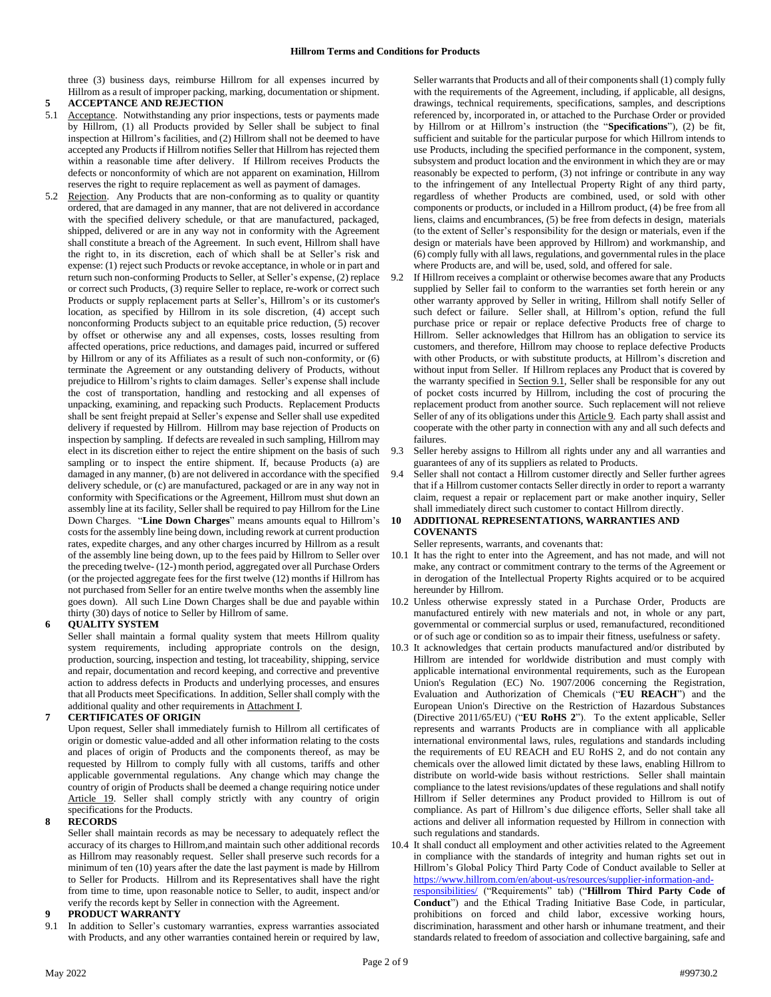three (3) business days, reimburse Hillrom for all expenses incurred by Hillrom as a result of improper packing, marking, documentation or shipment.

# **5 ACCEPTANCE AND REJECTION**

- 5.1 Acceptance. Notwithstanding any prior inspections, tests or payments made by Hillrom, (1) all Products provided by Seller shall be subject to final inspection at Hillrom's facilities, and (2) Hillrom shall not be deemed to have accepted any Productsif Hillrom notifies Seller that Hillrom has rejected them within a reasonable time after delivery. If Hillrom receives Products the defects or nonconformity of which are not apparent on examination, Hillrom reserves the right to require replacement as well as payment of damages.
- Rejection. Any Products that are non-conforming as to quality or quantity ordered, that are damaged in any manner, that are not delivered in accordance with the specified delivery schedule, or that are manufactured, packaged, shipped, delivered or are in any way not in conformity with the Agreement shall constitute a breach of the Agreement. In such event, Hillrom shall have the right to, in its discretion, each of which shall be at Seller's risk and expense: (1) reject such Products or revoke acceptance, in whole or in part and return such non-conforming Products to Seller, at Seller's expense, (2) replace or correct such Products, (3) require Seller to replace, re-work or correct such Products or supply replacement parts at Seller's, Hillrom's or its customer's location, as specified by Hillrom in its sole discretion, (4) accept such nonconforming Products subject to an equitable price reduction, (5) recover by offset or otherwise any and all expenses, costs, losses resulting from affected operations, price reductions, and damages paid, incurred or suffered by Hillrom or any of its Affiliates as a result of such non-conformity, or (6) terminate the Agreement or any outstanding delivery of Products, without prejudice to Hillrom's rights to claim damages. Seller's expense shall include the cost of transportation, handling and restocking and all expenses of unpacking, examining, and repacking such Products. Replacement Products shall be sent freight prepaid at Seller's expense and Seller shall use expedited delivery if requested by Hillrom. Hillrom may base rejection of Products on inspection by sampling. If defects are revealed in such sampling, Hillrom may elect in its discretion either to reject the entire shipment on the basis of such sampling or to inspect the entire shipment. If, because Products (a) are damaged in any manner, (b) are not delivered in accordance with the specified delivery schedule, or (c) are manufactured, packaged or are in any way not in conformity with Specifications or the Agreement, Hillrom must shut down an assembly line at its facility, Seller shall be required to pay Hillrom for the Line Down Charges. "**Line Down Charges**" means amounts equal to Hillrom's costs for the assembly line being down, including rework at current production rates, expedite charges, and any other charges incurred by Hillrom as a result of the assembly line being down, up to the fees paid by Hillrom to Seller over the preceding twelve- (12-) month period, aggregated over all Purchase Orders (or the projected aggregate fees for the first twelve (12) months if Hillrom has not purchased from Seller for an entire twelve months when the assembly line goes down). All such Line Down Charges shall be due and payable within thirty (30) days of notice to Seller by Hillrom of same.

## **6 QUALITY SYSTEM**

Seller shall maintain a formal quality system that meets Hillrom quality system requirements, including appropriate controls on the design, production, sourcing, inspection and testing, lot traceability, shipping, service and repair, documentation and record keeping, and corrective and preventive action to address defects in Products and underlying processes, and ensures that all Products meet Specifications. In addition, Seller shall comply with the additional quality and other requirements in Attachment I.

## **7 CERTIFICATES OF ORIGIN**

Upon request, Seller shall immediately furnish to Hillrom all certificates of origin or domestic value-added and all other information relating to the costs and places of origin of Products and the components thereof, as may be requested by Hillrom to comply fully with all customs, tariffs and other applicable governmental regulations. Any change which may change the country of origin of Products shall be deemed a change requiring notice under Article 19. Seller shall comply strictly with any country of origin specifications for the Products.

#### **8 RECORDS**

Seller shall maintain records as may be necessary to adequately reflect the accuracy of its charges to Hillrom,and maintain such other additional records as Hillrom may reasonably request. Seller shall preserve such records for a minimum of ten (10) years after the date the last payment is made by Hillrom to Seller for Products. Hillrom and its Representatives shall have the right from time to time, upon reasonable notice to Seller, to audit, inspect and/or verify the records kept by Seller in connection with the Agreement.

#### **9 PRODUCT WARRANTY**

9.1 In addition to Seller's customary warranties, express warranties associated with Products, and any other warranties contained herein or required by law, Seller warrants that Products and all of their componentsshall (1) comply fully with the requirements of the Agreement, including, if applicable, all designs, drawings, technical requirements, specifications, samples, and descriptions referenced by, incorporated in, or attached to the Purchase Order or provided by Hillrom or at Hillrom's instruction (the "**Specifications**"), (2) be fit, sufficient and suitable for the particular purpose for which Hillrom intends to use Products, including the specified performance in the component, system, subsystem and product location and the environment in which they are or may reasonably be expected to perform, (3) not infringe or contribute in any way to the infringement of any Intellectual Property Right of any third party, regardless of whether Products are combined, used, or sold with other components or products, or included in a Hillrom product, (4) be free from all liens, claims and encumbrances, (5) be free from defects in design, materials (to the extent of Seller's responsibility for the design or materials, even if the design or materials have been approved by Hillrom) and workmanship, and (6) comply fully with all laws, regulations, and governmental rules in the place where Products are, and will be, used, sold, and offered for sale.

- If Hillrom receives a complaint or otherwise becomes aware that any Products supplied by Seller fail to conform to the warranties set forth herein or any other warranty approved by Seller in writing, Hillrom shall notify Seller of such defect or failure. Seller shall, at Hillrom's option, refund the full purchase price or repair or replace defective Products free of charge to Hillrom. Seller acknowledges that Hillrom has an obligation to service its customers, and therefore, Hillrom may choose to replace defective Products with other Products, or with substitute products, at Hillrom's discretion and without input from Seller. If Hillrom replaces any Product that is covered by the warranty specified in Section 9.1, Seller shall be responsible for any out of pocket costs incurred by Hillrom, including the cost of procuring the replacement product from another source. Such replacement will not relieve Seller of any of its obligations under this **Article 9**. Each party shall assist and cooperate with the other party in connection with any and all such defects and failures.
- 9.3 Seller hereby assigns to Hillrom all rights under any and all warranties and guarantees of any of its suppliers as related to Products.
- 9.4 Seller shall not contact a Hillrom customer directly and Seller further agrees that if a Hillrom customer contacts Seller directly in order to report a warranty claim, request a repair or replacement part or make another inquiry, Seller shall immediately direct such customer to contact Hillrom directly.

### **10 ADDITIONAL REPRESENTATIONS, WARRANTIES AND COVENANTS**

Seller represents, warrants, and covenants that:

- 10.1 It has the right to enter into the Agreement, and has not made, and will not make, any contract or commitment contrary to the terms of the Agreement or in derogation of the Intellectual Property Rights acquired or to be acquired hereunder by Hillrom.
- 10.2 Unless otherwise expressly stated in a Purchase Order, Products are manufactured entirely with new materials and not, in whole or any part, governmental or commercial surplus or used, remanufactured, reconditioned or of such age or condition so as to impair their fitness, usefulness or safety.
- 10.3 It acknowledges that certain products manufactured and/or distributed by Hillrom are intended for worldwide distribution and must comply with applicable international environmental requirements, such as the European Union's Regulation (EC) No. 1907/2006 concerning the Registration, Evaluation and Authorization of Chemicals ("**EU REACH**") and the European Union's Directive on the Restriction of Hazardous Substances (Directive 2011/65/EU) ("**EU RoHS 2**"). To the extent applicable, Seller represents and warrants Products are in compliance with all applicable international environmental laws, rules, regulations and standards including the requirements of EU REACH and EU RoHS 2, and do not contain any chemicals over the allowed limit dictated by these laws, enabling Hillrom to distribute on world-wide basis without restrictions. Seller shall maintain compliance to the latest revisions/updates of these regulations and shall notify Hillrom if Seller determines any Product provided to Hillrom is out of compliance. As part of Hillrom's due diligence efforts, Seller shall take all actions and deliver all information requested by Hillrom in connection with such regulations and standards.
- 10.4 It shall conduct all employment and other activities related to the Agreement in compliance with the standards of integrity and human rights set out in Hillrom's Global Policy Third Party Code of Conduct available to Seller at [https://www.hillrom.com/en/about-us/resources/supplier-information-and](https://www.hillrom.com/en/about-us/resources/supplier-information-and-responsibilities/)[responsibilities/](https://www.hillrom.com/en/about-us/resources/supplier-information-and-responsibilities/) ("Requirements" tab) ("**Hillrom Third Party Code of Conduct**") and the Ethical Trading Initiative Base Code, in particular, prohibitions on forced and child labor, excessive working hours, discrimination, harassment and other harsh or inhumane treatment, and their standards related to freedom of association and collective bargaining, safe and

Page 2 of 9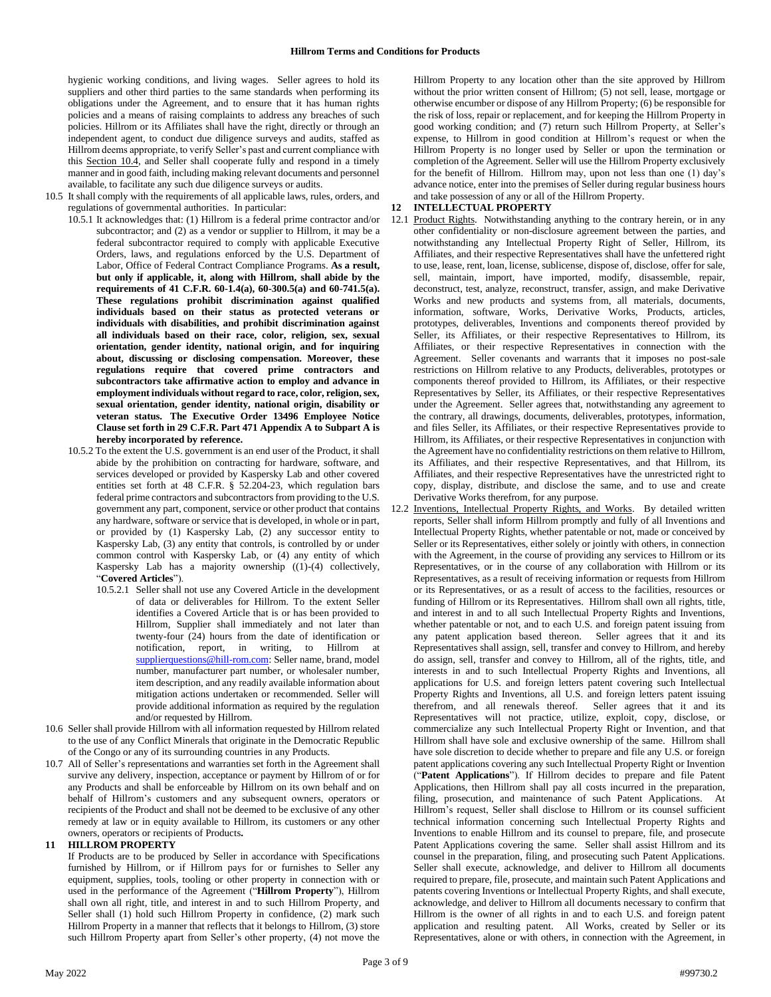hygienic working conditions, and living wages. Seller agrees to hold its suppliers and other third parties to the same standards when performing its obligations under the Agreement, and to ensure that it has human rights policies and a means of raising complaints to address any breaches of such policies. Hillrom or its Affiliates shall have the right, directly or through an independent agent, to conduct due diligence surveys and audits, staffed as Hillrom deems appropriate, to verify Seller's past and current compliance with this Section 10.4, and Seller shall cooperate fully and respond in a timely manner and in good faith, including making relevant documents and personnel available, to facilitate any such due diligence surveys or audits.

- 10.5 It shall comply with the requirements of all applicable laws, rules, orders, and regulations of governmental authorities. In particular:
	- 10.5.1 It acknowledges that: (1) Hillrom is a federal prime contractor and/or subcontractor; and (2) as a vendor or supplier to Hillrom, it may be a federal subcontractor required to comply with applicable Executive Orders, laws, and regulations enforced by the U.S. Department of Labor, Office of Federal Contract Compliance Programs. **As a result, but only if applicable, it, along with Hillrom, shall abide by the requirements of 41 C.F.R. 60-1.4(a), 60-300.5(a) and 60-741.5(a). These regulations prohibit discrimination against qualified individuals based on their status as protected veterans or individuals with disabilities, and prohibit discrimination against all individuals based on their race, color, religion, sex, sexual orientation, gender identity, national origin, and for inquiring about, discussing or disclosing compensation. Moreover, these regulations require that covered prime contractors and subcontractors take affirmative action to employ and advance in employment individuals without regard to race, color, religion, sex, sexual orientation, gender identity, national origin, disability or veteran status. The Executive Order 13496 Employee Notice Clause set forth in 29 C.F.R. Part 471 Appendix A to Subpart A is hereby incorporated by reference.**
	- 10.5.2 To the extent the U.S. government is an end user of the Product, it shall abide by the prohibition on contracting for hardware, software, and services developed or provided by Kaspersky Lab and other covered entities set forth at 48 C.F.R. § 52.204-23, which regulation bars federal prime contractors and subcontractors from providing to the U.S. government any part, component, service or other product that contains any hardware, software or service that is developed, in whole or in part, or provided by (1) Kaspersky Lab, (2) any successor entity to Kaspersky Lab, (3) any entity that controls, is controlled by or under common control with Kaspersky Lab, or (4) any entity of which Kaspersky Lab has a majority ownership ((1)-(4) collectively, "**Covered Articles**").
		- 10.5.2.1 Seller shall not use any Covered Article in the development of data or deliverables for Hillrom. To the extent Seller identifies a Covered Article that is or has been provided to Hillrom, Supplier shall immediately and not later than twenty-four (24) hours from the date of identification or notification, report, in writing, to Hillrom at [supplierquestions@hill-rom.com:](mailto:supplierquestions@hill-rom.com) Seller name, brand, model number, manufacturer part number, or wholesaler number, item description, and any readily available information about mitigation actions undertaken or recommended. Seller will provide additional information as required by the regulation and/or requested by Hillrom.
- 10.6 Seller shall provide Hillrom with all information requested by Hillrom related to the use of any Conflict Minerals that originate in the Democratic Republic of the Congo or any of its surrounding countries in any Products.
- 10.7 All of Seller's representations and warranties set forth in the Agreement shall survive any delivery, inspection, acceptance or payment by Hillrom of or for any Products and shall be enforceable by Hillrom on its own behalf and on behalf of Hillrom's customers and any subsequent owners, operators or recipients of the Product and shall not be deemed to be exclusive of any other remedy at law or in equity available to Hillrom, its customers or any other owners, operators or recipients of Products**.**

#### **11 HILLROM PROPERTY**

If Products are to be produced by Seller in accordance with Specifications furnished by Hillrom, or if Hillrom pays for or furnishes to Seller any equipment, supplies, tools, tooling or other property in connection with or used in the performance of the Agreement ("**Hillrom Property**"), Hillrom shall own all right, title, and interest in and to such Hillrom Property, and Seller shall (1) hold such Hillrom Property in confidence, (2) mark such Hillrom Property in a manner that reflects that it belongs to Hillrom, (3) store such Hillrom Property apart from Seller's other property, (4) not move the

Hillrom Property to any location other than the site approved by Hillrom without the prior written consent of Hillrom; (5) not sell, lease, mortgage or otherwise encumber or dispose of any Hillrom Property; (6) be responsible for the risk of loss, repair or replacement, and for keeping the Hillrom Property in good working condition; and (7) return such Hillrom Property, at Seller's expense, to Hillrom in good condition at Hillrom's request or when the Hillrom Property is no longer used by Seller or upon the termination or completion of the Agreement. Seller will use the Hillrom Property exclusively for the benefit of Hillrom. Hillrom may, upon not less than one (1) day's advance notice, enter into the premises of Seller during regular business hours and take possession of any or all of the Hillrom Property.

### **12 INTELLECTUAL PROPERTY**

- 12.1 Product Rights. Notwithstanding anything to the contrary herein, or in any other confidentiality or non-disclosure agreement between the parties, and notwithstanding any Intellectual Property Right of Seller, Hillrom, its Affiliates, and their respective Representatives shall have the unfettered right to use, lease, rent, loan, license, sublicense, dispose of, disclose, offer for sale, sell, maintain, import, have imported, modify, disassemble, repair, deconstruct, test, analyze, reconstruct, transfer, assign, and make Derivative Works and new products and systems from, all materials, documents, information, software, Works, Derivative Works, Products, articles, prototypes, deliverables, Inventions and components thereof provided by Seller, its Affiliates, or their respective Representatives to Hillrom, its Affiliates, or their respective Representatives in connection with the Agreement. Seller covenants and warrants that it imposes no post-sale restrictions on Hillrom relative to any Products, deliverables, prototypes or components thereof provided to Hillrom, its Affiliates, or their respective Representatives by Seller, its Affiliates, or their respective Representatives under the Agreement. Seller agrees that, notwithstanding any agreement to the contrary, all drawings, documents, deliverables, prototypes, information, and files Seller, its Affiliates, or their respective Representatives provide to Hillrom, its Affiliates, or their respective Representatives in conjunction with the Agreement have no confidentiality restrictions on them relative to Hillrom, its Affiliates, and their respective Representatives, and that Hillrom, its Affiliates, and their respective Representatives have the unrestricted right to copy, display, distribute, and disclose the same, and to use and create Derivative Works therefrom, for any purpose.
- 12.2 Inventions, Intellectual Property Rights, and Works. By detailed written reports, Seller shall inform Hillrom promptly and fully of all Inventions and Intellectual Property Rights, whether patentable or not, made or conceived by Seller or its Representatives, either solely or jointly with others, in connection with the Agreement, in the course of providing any services to Hillrom or its Representatives, or in the course of any collaboration with Hillrom or its Representatives, as a result of receiving information or requests from Hillrom or its Representatives, or as a result of access to the facilities, resources or funding of Hillrom or its Representatives. Hillrom shall own all rights, title, and interest in and to all such Intellectual Property Rights and Inventions, whether patentable or not, and to each U.S. and foreign patent issuing from any patent application based thereon. Seller agrees that it and its Representatives shall assign, sell, transfer and convey to Hillrom, and hereby do assign, sell, transfer and convey to Hillrom, all of the rights, title, and interests in and to such Intellectual Property Rights and Inventions, all applications for U.S. and foreign letters patent covering such Intellectual Property Rights and Inventions, all U.S. and foreign letters patent issuing therefrom, and all renewals thereof. Seller agrees that it and its Representatives will not practice, utilize, exploit, copy, disclose, or commercialize any such Intellectual Property Right or Invention, and that Hillrom shall have sole and exclusive ownership of the same. Hillrom shall have sole discretion to decide whether to prepare and file any U.S. or foreign patent applications covering any such Intellectual Property Right or Invention ("**Patent Applications**"). If Hillrom decides to prepare and file Patent Applications, then Hillrom shall pay all costs incurred in the preparation, filing, prosecution, and maintenance of such Patent Applications. At Hillrom's request, Seller shall disclose to Hillrom or its counsel sufficient technical information concerning such Intellectual Property Rights and Inventions to enable Hillrom and its counsel to prepare, file, and prosecute Patent Applications covering the same. Seller shall assist Hillrom and its counsel in the preparation, filing, and prosecuting such Patent Applications. Seller shall execute, acknowledge, and deliver to Hillrom all documents required to prepare, file, prosecute, and maintain such Patent Applications and patents covering Inventions or Intellectual Property Rights, and shall execute, acknowledge, and deliver to Hillrom all documents necessary to confirm that Hillrom is the owner of all rights in and to each U.S. and foreign patent application and resulting patent. All Works, created by Seller or its Representatives, alone or with others, in connection with the Agreement, in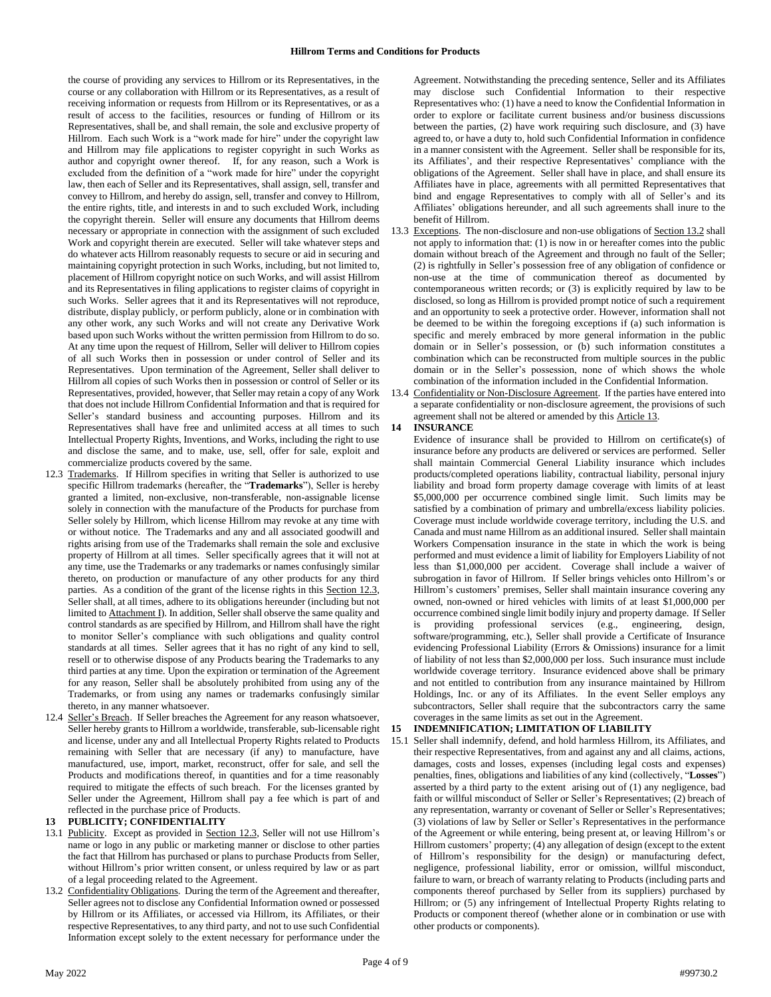the course of providing any services to Hillrom or its Representatives, in the course or any collaboration with Hillrom or its Representatives, as a result of receiving information or requests from Hillrom or its Representatives, or as a result of access to the facilities, resources or funding of Hillrom or its Representatives, shall be, and shall remain, the sole and exclusive property of Hillrom. Each such Work is a "work made for hire" under the copyright law and Hillrom may file applications to register copyright in such Works as author and copyright owner thereof. If, for any reason, such a Work is excluded from the definition of a "work made for hire" under the copyright law, then each of Seller and its Representatives, shall assign, sell, transfer and convey to Hillrom, and hereby do assign, sell, transfer and convey to Hillrom, the entire rights, title, and interests in and to such excluded Work, including the copyright therein. Seller will ensure any documents that Hillrom deems necessary or appropriate in connection with the assignment of such excluded Work and copyright therein are executed. Seller will take whatever steps and do whatever acts Hillrom reasonably requests to secure or aid in securing and maintaining copyright protection in such Works, including, but not limited to, placement of Hillrom copyright notice on such Works, and will assist Hillrom and its Representatives in filing applications to register claims of copyright in such Works. Seller agrees that it and its Representatives will not reproduce, distribute, display publicly, or perform publicly, alone or in combination with any other work, any such Works and will not create any Derivative Work based upon such Works without the written permission from Hillrom to do so. At any time upon the request of Hillrom, Seller will deliver to Hillrom copies of all such Works then in possession or under control of Seller and its Representatives. Upon termination of the Agreement, Seller shall deliver to Hillrom all copies of such Works then in possession or control of Seller or its Representatives, provided, however, that Seller may retain a copy of any Work that does not include Hillrom Confidential Information and that is required for Seller's standard business and accounting purposes. Hillrom and its Representatives shall have free and unlimited access at all times to such Intellectual Property Rights, Inventions, and Works, including the right to use and disclose the same, and to make, use, sell, offer for sale, exploit and commercialize products covered by the same.

- 12.3 Trademarks. If Hillrom specifies in writing that Seller is authorized to use specific Hillrom trademarks (hereafter, the "**Trademarks**"), Seller is hereby granted a limited, non-exclusive, non-transferable, non-assignable license solely in connection with the manufacture of the Products for purchase from Seller solely by Hillrom, which license Hillrom may revoke at any time with or without notice. The Trademarks and any and all associated goodwill and rights arising from use of the Trademarks shall remain the sole and exclusive property of Hillrom at all times. Seller specifically agrees that it will not at any time, use the Trademarks or any trademarks or names confusingly similar thereto, on production or manufacture of any other products for any third parties. As a condition of the grant of the license rights in this Section 12.3, Seller shall, at all times, adhere to its obligations hereunder (including but not limited to Attachment I). In addition, Seller shall observe the same quality and control standards as are specified by Hillrom, and Hillrom shall have the right to monitor Seller's compliance with such obligations and quality control standards at all times. Seller agrees that it has no right of any kind to sell, resell or to otherwise dispose of any Products bearing the Trademarks to any third parties at any time. Upon the expiration or termination of the Agreement for any reason, Seller shall be absolutely prohibited from using any of the Trademarks, or from using any names or trademarks confusingly similar thereto, in any manner whatsoever.
- 12.4 Seller's Breach. If Seller breaches the Agreement for any reason whatsoever, Seller hereby grants to Hillrom a worldwide, transferable, sub-licensable right and license, under any and all Intellectual Property Rights related to Products remaining with Seller that are necessary (if any) to manufacture, have manufactured, use, import, market, reconstruct, offer for sale, and sell the Products and modifications thereof, in quantities and for a time reasonably required to mitigate the effects of such breach. For the licenses granted by Seller under the Agreement, Hillrom shall pay a fee which is part of and reflected in the purchase price of Products.

## **13 PUBLICITY; CONFIDENTIALITY**

- 13.1 Publicity. Except as provided in Section 12.3, Seller will not use Hillrom's name or logo in any public or marketing manner or disclose to other parties the fact that Hillrom has purchased or plans to purchase Products from Seller, without Hillrom's prior written consent, or unless required by law or as part of a legal proceeding related to the Agreement.
- 13.2 Confidentiality Obligations. During the term of the Agreement and thereafter, Seller agrees not to disclose any Confidential Information owned or possessed by Hillrom or its Affiliates, or accessed via Hillrom, its Affiliates, or their respective Representatives, to any third party, and not to use such Confidential Information except solely to the extent necessary for performance under the

Agreement. Notwithstanding the preceding sentence, Seller and its Affiliates may disclose such Confidential Information to their respective Representatives who: (1) have a need to know the Confidential Information in order to explore or facilitate current business and/or business discussions between the parties, (2) have work requiring such disclosure, and (3) have agreed to, or have a duty to, hold such Confidential Information in confidence in a manner consistent with the Agreement. Seller shall be responsible for its, its Affiliates', and their respective Representatives' compliance with the obligations of the Agreement. Seller shall have in place, and shall ensure its Affiliates have in place, agreements with all permitted Representatives that bind and engage Representatives to comply with all of Seller's and its Affiliates' obligations hereunder, and all such agreements shall inure to the benefit of Hillrom.

13.3 Exceptions. The non-disclosure and non-use obligations of Section 13.2 shall not apply to information that: (1) is now in or hereafter comes into the public domain without breach of the Agreement and through no fault of the Seller; (2) is rightfully in Seller's possession free of any obligation of confidence or non-use at the time of communication thereof as documented by contemporaneous written records; or (3) is explicitly required by law to be disclosed, so long as Hillrom is provided prompt notice of such a requirement and an opportunity to seek a protective order. However, information shall not be deemed to be within the foregoing exceptions if (a) such information is specific and merely embraced by more general information in the public domain or in Seller's possession, or (b) such information constitutes a combination which can be reconstructed from multiple sources in the public domain or in the Seller's possession, none of which shows the whole combination of the information included in the Confidential Information.

13.4 Confidentiality or Non-Disclosure Agreement. If the parties have entered into a separate confidentiality or non-disclosure agreement, the provisions of such agreement shall not be altered or amended by this Article 13.

# **14 INSURANCE**

Evidence of insurance shall be provided to Hillrom on certificate(s) of insurance before any products are delivered or services are performed. Seller shall maintain Commercial General Liability insurance which includes products/completed operations liability, contractual liability, personal injury liability and broad form property damage coverage with limits of at least \$5,000,000 per occurrence combined single limit. Such limits may be satisfied by a combination of primary and umbrella/excess liability policies. Coverage must include worldwide coverage territory, including the U.S. and Canada and must name Hillrom as an additional insured. Seller shall maintain Workers Compensation insurance in the state in which the work is being performed and must evidence a limit of liability for Employers Liability of not less than \$1,000,000 per accident. Coverage shall include a waiver of subrogation in favor of Hillrom. If Seller brings vehicles onto Hillrom's or Hillrom's customers' premises, Seller shall maintain insurance covering any owned, non-owned or hired vehicles with limits of at least \$1,000,000 per occurrence combined single limit bodily injury and property damage. If Seller is providing professional services (e.g., engineering, design, software/programming, etc.), Seller shall provide a Certificate of Insurance evidencing Professional Liability (Errors & Omissions) insurance for a limit of liability of not less than \$2,000,000 per loss. Such insurance must include worldwide coverage territory. Insurance evidenced above shall be primary and not entitled to contribution from any insurance maintained by Hillrom Holdings, Inc. or any of its Affiliates. In the event Seller employs any subcontractors, Seller shall require that the subcontractors carry the same coverages in the same limits as set out in the Agreement.

## **15 INDEMNIFICATION; LIMITATION OF LIABILITY**

15.1 Seller shall indemnify, defend, and hold harmless Hillrom, its Affiliates, and their respective Representatives, from and against any and all claims, actions, damages, costs and losses, expenses (including legal costs and expenses) penalties, fines, obligations and liabilities of any kind (collectively, "**Losses**") asserted by a third party to the extent arising out of (1) any negligence, bad faith or willful misconduct of Seller or Seller's Representatives; (2) breach of any representation, warranty or covenant of Seller or Seller's Representatives; (3) violations of law by Seller or Seller's Representatives in the performance of the Agreement or while entering, being present at, or leaving Hillrom's or Hillrom customers' property; (4) any allegation of design (except to the extent of Hillrom's responsibility for the design) or manufacturing defect, negligence, professional liability, error or omission, willful misconduct, failure to warn, or breach of warranty relating to Products (including parts and components thereof purchased by Seller from its suppliers) purchased by Hillrom; or (5) any infringement of Intellectual Property Rights relating to Products or component thereof (whether alone or in combination or use with other products or components).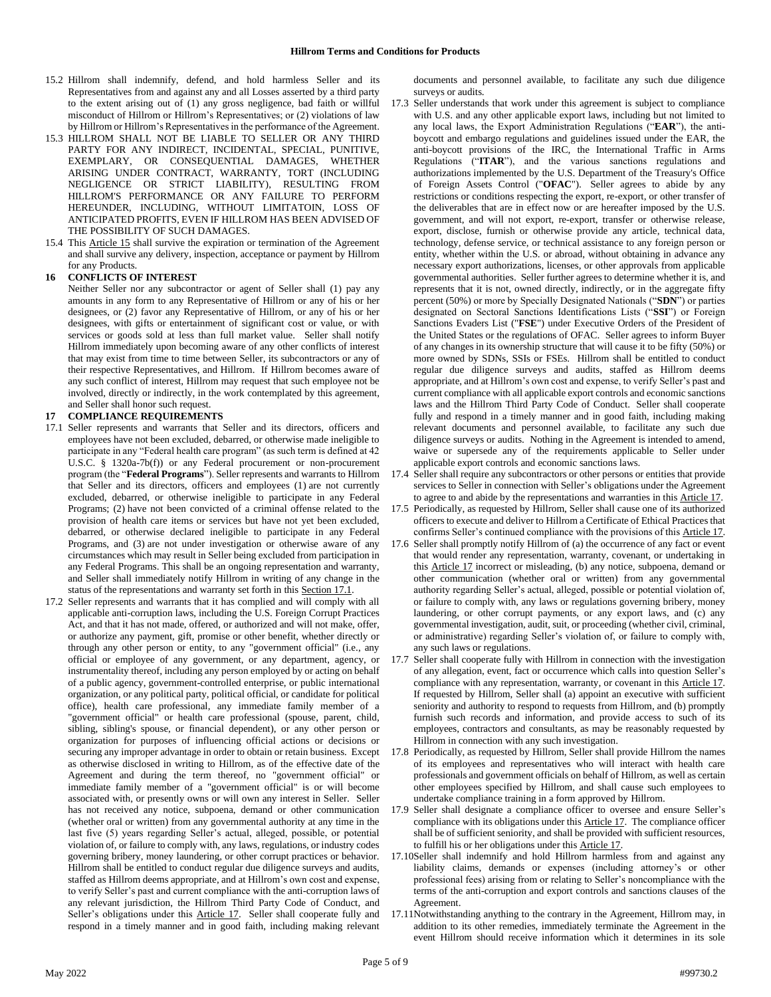- 15.2 Hillrom shall indemnify, defend, and hold harmless Seller and its Representatives from and against any and all Losses asserted by a third party to the extent arising out of (1) any gross negligence, bad faith or willful misconduct of Hillrom or Hillrom's Representatives; or (2) violations of law by Hillrom or Hillrom's Representatives in the performance of the Agreement.
- 15.3 HILLROM SHALL NOT BE LIABLE TO SELLER OR ANY THIRD PARTY FOR ANY INDIRECT, INCIDENTAL, SPECIAL, PUNITIVE, EXEMPLARY, OR CONSEQUENTIAL DAMAGES, WHETHER ARISING UNDER CONTRACT, WARRANTY, TORT (INCLUDING NEGLIGENCE OR STRICT LIABILITY), RESULTING FROM HILLROM'S PERFORMANCE OR ANY FAILURE TO PERFORM HEREUNDER, INCLUDING, WITHOUT LIMITATOIN, LOSS OF ANTICIPATED PROFITS, EVEN IF HILLROM HAS BEEN ADVISED OF THE POSSIBILITY OF SUCH DAMAGES.
- 15.4 This **Article 15** shall survive the expiration or termination of the Agreement and shall survive any delivery, inspection, acceptance or payment by Hillrom for any Products.

### **16 CONFLICTS OF INTEREST**

Neither Seller nor any subcontractor or agent of Seller shall (1) pay any amounts in any form to any Representative of Hillrom or any of his or her designees, or (2) favor any Representative of Hillrom, or any of his or her designees, with gifts or entertainment of significant cost or value, or with services or goods sold at less than full market value. Seller shall notify Hillrom immediately upon becoming aware of any other conflicts of interest that may exist from time to time between Seller, its subcontractors or any of their respective Representatives, and Hillrom. If Hillrom becomes aware of any such conflict of interest, Hillrom may request that such employee not be involved, directly or indirectly, in the work contemplated by this agreement, and Seller shall honor such request.

### **17 COMPLIANCE REQUIREMENTS**

- 17.1 Seller represents and warrants that Seller and its directors, officers and employees have not been excluded, debarred, or otherwise made ineligible to participate in any "Federal health care program" (as such term is defined at 42 U.S.C. § 1320a-7b(f)) or any Federal procurement or non-procurement program (the "**Federal Programs**"). Seller represents and warrants to Hillrom that Seller and its directors, officers and employees (1) are not currently excluded, debarred, or otherwise ineligible to participate in any Federal Programs; (2) have not been convicted of a criminal offense related to the provision of health care items or services but have not yet been excluded, debarred, or otherwise declared ineligible to participate in any Federal Programs, and (3) are not under investigation or otherwise aware of any circumstances which may result in Seller being excluded from participation in any Federal Programs. This shall be an ongoing representation and warranty, and Seller shall immediately notify Hillrom in writing of any change in the status of the representations and warranty set forth in this Section 17.1.
- 17.2 Seller represents and warrants that it has complied and will comply with all applicable anti-corruption laws, including the U.S. Foreign Corrupt Practices Act, and that it has not made, offered, or authorized and will not make, offer, or authorize any payment, gift, promise or other benefit, whether directly or through any other person or entity, to any "government official" (i.e., any official or employee of any government, or any department, agency, or instrumentality thereof, including any person employed by or acting on behalf of a public agency, government-controlled enterprise, or public international organization, or any political party, political official, or candidate for political office), health care professional, any immediate family member of a "government official" or health care professional (spouse, parent, child, sibling, sibling's spouse, or financial dependent), or any other person or organization for purposes of influencing official actions or decisions or securing any improper advantage in order to obtain or retain business. Except as otherwise disclosed in writing to Hillrom, as of the effective date of the Agreement and during the term thereof, no "government official" or immediate family member of a "government official" is or will become associated with, or presently owns or will own any interest in Seller. Seller has not received any notice, subpoena, demand or other communication (whether oral or written) from any governmental authority at any time in the last five (5) years regarding Seller's actual, alleged, possible, or potential violation of, or failure to comply with, any laws, regulations, or industry codes governing bribery, money laundering, or other corrupt practices or behavior. Hillrom shall be entitled to conduct regular due diligence surveys and audits, staffed as Hillrom deems appropriate, and at Hillrom's own cost and expense, to verify Seller's past and current compliance with the anti-corruption laws of any relevant jurisdiction, the Hillrom Third Party Code of Conduct, and Seller's obligations under this Article 17. Seller shall cooperate fully and respond in a timely manner and in good faith, including making relevant

documents and personnel available, to facilitate any such due diligence surveys or audits.

- 17.3 Seller understands that work under this agreement is subject to compliance with U.S. and any other applicable export laws, including but not limited to any local laws, the Export Administration Regulations ("**EAR**"), the antiboycott and embargo regulations and guidelines issued under the EAR, the anti-boycott provisions of the IRC, the International Traffic in Arms Regulations ("**ITAR**"), and the various sanctions regulations and authorizations implemented by the U.S. Department of the Treasury's Office of Foreign Assets Control ("**OFAC**"). Seller agrees to abide by any restrictions or conditions respecting the export, re-export, or other transfer of the deliverables that are in effect now or are hereafter imposed by the U.S. government, and will not export, re-export, transfer or otherwise release, export, disclose, furnish or otherwise provide any article, technical data, technology, defense service, or technical assistance to any foreign person or entity, whether within the U.S. or abroad, without obtaining in advance any necessary export authorizations, licenses, or other approvals from applicable governmental authorities. Seller further agrees to determine whether it is, and represents that it is not, owned directly, indirectly, or in the aggregate fifty percent (50%) or more by Specially Designated Nationals ("**SDN**") or parties designated on Sectoral Sanctions Identifications Lists ("**SSI**") or Foreign Sanctions Evaders List ("**FSE**") under Executive Orders of the President of the United States or the regulations of OFAC. Seller agrees to inform Buyer of any changes in its ownership structure that will cause it to be fifty (50%) or more owned by SDNs, SSIs or FSEs. Hillrom shall be entitled to conduct regular due diligence surveys and audits, staffed as Hillrom deems appropriate, and at Hillrom's own cost and expense, to verify Seller's past and current compliance with all applicable export controls and economic sanctions laws and the Hillrom Third Party Code of Conduct. Seller shall cooperate fully and respond in a timely manner and in good faith, including making relevant documents and personnel available, to facilitate any such due diligence surveys or audits. Nothing in the Agreement is intended to amend, waive or supersede any of the requirements applicable to Seller under applicable export controls and economic sanctions laws.
- 17.4 Seller shall require any subcontractors or other persons or entities that provide services to Seller in connection with Seller's obligations under the Agreement to agree to and abide by the representations and warranties in this Article 17.
- 17.5 Periodically, as requested by Hillrom, Seller shall cause one of its authorized officers to execute and deliver to Hillrom a Certificate of Ethical Practices that confirms Seller's continued compliance with the provisions of this Article 17.
- 17.6 Seller shall promptly notify Hillrom of (a) the occurrence of any fact or event that would render any representation, warranty, covenant, or undertaking in this Article 17 incorrect or misleading, (b) any notice, subpoena, demand or other communication (whether oral or written) from any governmental authority regarding Seller's actual, alleged, possible or potential violation of, or failure to comply with, any laws or regulations governing bribery, money laundering, or other corrupt payments, or any export laws, and (c) any governmental investigation, audit, suit, or proceeding (whether civil, criminal, or administrative) regarding Seller's violation of, or failure to comply with, any such laws or regulations.
- 17.7 Seller shall cooperate fully with Hillrom in connection with the investigation of any allegation, event, fact or occurrence which calls into question Seller's compliance with any representation, warranty, or covenant in this Article 17. If requested by Hillrom, Seller shall (a) appoint an executive with sufficient seniority and authority to respond to requests from Hillrom, and (b) promptly furnish such records and information, and provide access to such of its employees, contractors and consultants, as may be reasonably requested by Hillrom in connection with any such investigation.
- 17.8 Periodically, as requested by Hillrom, Seller shall provide Hillrom the names of its employees and representatives who will interact with health care professionals and government officials on behalf of Hillrom, as well as certain other employees specified by Hillrom, and shall cause such employees to undertake compliance training in a form approved by Hillrom.
- 17.9 Seller shall designate a compliance officer to oversee and ensure Seller's compliance with its obligations under this Article 17. The compliance officer shall be of sufficient seniority, and shall be provided with sufficient resources, to fulfill his or her obligations under this Article 17.
- 17.10Seller shall indemnify and hold Hillrom harmless from and against any liability claims, demands or expenses (including attorney's or other professional fees) arising from or relating to Seller's noncompliance with the terms of the anti-corruption and export controls and sanctions clauses of the Agreement.
- 17.11Notwithstanding anything to the contrary in the Agreement, Hillrom may, in addition to its other remedies, immediately terminate the Agreement in the event Hillrom should receive information which it determines in its sole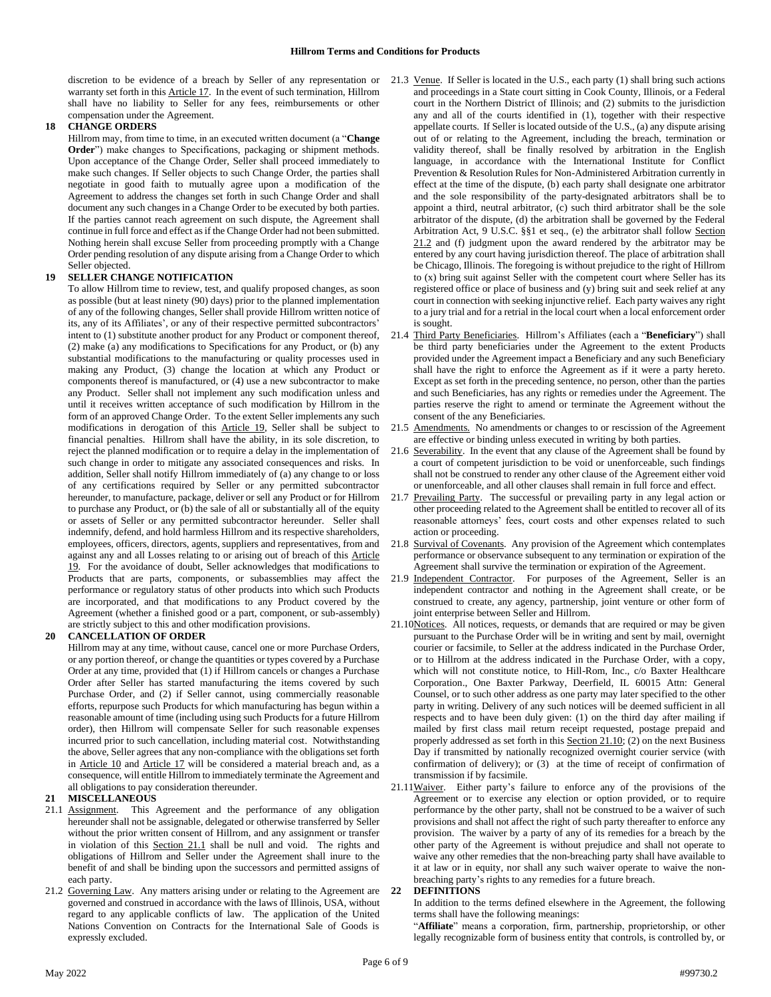discretion to be evidence of a breach by Seller of any representation or warranty set forth in this **Article 17**. In the event of such termination, Hillrom shall have no liability to Seller for any fees, reimbursements or other compensation under the Agreement.

### **18 CHANGE ORDERS**

Hillrom may, from time to time, in an executed written document (a "**Change Order**") make changes to Specifications, packaging or shipment methods. Upon acceptance of the Change Order, Seller shall proceed immediately to make such changes. If Seller objects to such Change Order, the parties shall negotiate in good faith to mutually agree upon a modification of the Agreement to address the changes set forth in such Change Order and shall document any such changes in a Change Order to be executed by both parties. If the parties cannot reach agreement on such dispute, the Agreement shall continue in full force and effect as if the Change Order had not been submitted. Nothing herein shall excuse Seller from proceeding promptly with a Change Order pending resolution of any dispute arising from a Change Order to which Seller objected.

## **19 SELLER CHANGE NOTIFICATION**

To allow Hillrom time to review, test, and qualify proposed changes, as soon as possible (but at least ninety (90) days) prior to the planned implementation of any of the following changes, Seller shall provide Hillrom written notice of its, any of its Affiliates', or any of their respective permitted subcontractors' intent to (1) substitute another product for any Product or component thereof, (2) make (a) any modifications to Specifications for any Product, or (b) any substantial modifications to the manufacturing or quality processes used in making any Product, (3) change the location at which any Product or components thereof is manufactured, or (4) use a new subcontractor to make any Product. Seller shall not implement any such modification unless and until it receives written acceptance of such modification by Hillrom in the form of an approved Change Order. To the extent Seller implements any such modifications in derogation of this Article 19, Seller shall be subject to financial penalties. Hillrom shall have the ability, in its sole discretion, to reject the planned modification or to require a delay in the implementation of such change in order to mitigate any associated consequences and risks. In addition, Seller shall notify Hillrom immediately of (a) any change to or loss of any certifications required by Seller or any permitted subcontractor hereunder, to manufacture, package, deliver or sell any Product or for Hillrom to purchase any Product, or (b) the sale of all or substantially all of the equity or assets of Seller or any permitted subcontractor hereunder. Seller shall indemnify, defend, and hold harmless Hillrom and its respective shareholders, employees, officers, directors, agents, suppliers and representatives, from and against any and all Losses relating to or arising out of breach of this Article 19. For the avoidance of doubt, Seller acknowledges that modifications to Products that are parts, components, or subassemblies may affect the performance or regulatory status of other products into which such Products are incorporated, and that modifications to any Product covered by the Agreement (whether a finished good or a part, component, or sub-assembly) are strictly subject to this and other modification provisions.

## **20 CANCELLATION OF ORDER**

Hillrom may at any time, without cause, cancel one or more Purchase Orders, or any portion thereof, or change the quantities or types covered by a Purchase Order at any time, provided that (1) if Hillrom cancels or changes a Purchase Order after Seller has started manufacturing the items covered by such Purchase Order, and (2) if Seller cannot, using commercially reasonable efforts, repurpose such Products for which manufacturing has begun within a reasonable amount of time (including using such Products for a future Hillrom order), then Hillrom will compensate Seller for such reasonable expenses incurred prior to such cancellation, including material cost. Notwithstanding the above, Seller agrees that any non-compliance with the obligations set forth in Article 10 and Article 17 will be considered a material breach and, as a consequence, will entitle Hillrom to immediately terminate the Agreement and all obligations to pay consideration thereunder.

#### **21 MISCELLANEOUS**

- 21.1 Assignment. This Agreement and the performance of any obligation hereunder shall not be assignable, delegated or otherwise transferred by Seller without the prior written consent of Hillrom, and any assignment or transfer in violation of this Section 21.1 shall be null and void. The rights and obligations of Hillrom and Seller under the Agreement shall inure to the benefit of and shall be binding upon the successors and permitted assigns of each party.
- 21.2 Governing Law. Any matters arising under or relating to the Agreement are governed and construed in accordance with the laws of Illinois, USA, without regard to any applicable conflicts of law. The application of the United Nations Convention on Contracts for the International Sale of Goods is expressly excluded.
- 21.3 Venue. If Seller is located in the U.S., each party (1) shall bring such actions and proceedings in a State court sitting in Cook County, Illinois, or a Federal court in the Northern District of Illinois; and (2) submits to the jurisdiction any and all of the courts identified in (1), together with their respective appellate courts. If Seller is located outside of the U.S., (a) any dispute arising out of or relating to the Agreement, including the breach, termination or validity thereof, shall be finally resolved by arbitration in the English language, in accordance with the International Institute for Conflict Prevention & Resolution Rules for Non-Administered Arbitration currently in effect at the time of the dispute, (b) each party shall designate one arbitrator and the sole responsibility of the party-designated arbitrators shall be to appoint a third, neutral arbitrator, (c) such third arbitrator shall be the sole arbitrator of the dispute, (d) the arbitration shall be governed by the Federal Arbitration Act, 9 U.S.C. §§1 et seq., (e) the arbitrator shall follow Section 21.2 and (f) judgment upon the award rendered by the arbitrator may be entered by any court having jurisdiction thereof. The place of arbitration shall be Chicago, Illinois. The foregoing is without prejudice to the right of Hillrom to (x) bring suit against Seller with the competent court where Seller has its registered office or place of business and (y) bring suit and seek relief at any court in connection with seeking injunctive relief. Each party waives any right to a jury trial and for a retrial in the local court when a local enforcement order is sought.
- 21.4 Third Party Beneficiaries. Hillrom's Affiliates (each a "**Beneficiary**") shall be third party beneficiaries under the Agreement to the extent Products provided under the Agreement impact a Beneficiary and any such Beneficiary shall have the right to enforce the Agreement as if it were a party hereto. Except as set forth in the preceding sentence, no person, other than the parties and such Beneficiaries, has any rights or remedies under the Agreement. The parties reserve the right to amend or terminate the Agreement without the consent of the any Beneficiaries.
- 21.5 Amendments. No amendments or changes to or rescission of the Agreement are effective or binding unless executed in writing by both parties.
- 21.6 Severability. In the event that any clause of the Agreement shall be found by a court of competent jurisdiction to be void or unenforceable, such findings shall not be construed to render any other clause of the Agreement either void or unenforceable, and all other clauses shall remain in full force and effect.
- 21.7 Prevailing Party. The successful or prevailing party in any legal action or other proceeding related to the Agreement shall be entitled to recover all of its reasonable attorneys' fees, court costs and other expenses related to such action or proceeding.
- 21.8 Survival of Covenants. Any provision of the Agreement which contemplates performance or observance subsequent to any termination or expiration of the Agreement shall survive the termination or expiration of the Agreement.
- 21.9 Independent Contractor. For purposes of the Agreement, Seller is an independent contractor and nothing in the Agreement shall create, or be construed to create, any agency, partnership, joint venture or other form of joint enterprise between Seller and Hillrom.
- 21.10Notices. All notices, requests, or demands that are required or may be given pursuant to the Purchase Order will be in writing and sent by mail, overnight courier or facsimile, to Seller at the address indicated in the Purchase Order, or to Hillrom at the address indicated in the Purchase Order, with a copy, which will not constitute notice, to Hill-Rom, Inc., c/o Baxter Healthcare Corporation., One Baxter Parkway, Deerfield, IL 60015 Attn: General Counsel, or to such other address as one party may later specified to the other party in writing. Delivery of any such notices will be deemed sufficient in all respects and to have been duly given: (1) on the third day after mailing if mailed by first class mail return receipt requested, postage prepaid and properly addressed as set forth in this Section 21.10; (2) on the next Business Day if transmitted by nationally recognized overnight courier service (with confirmation of delivery); or (3) at the time of receipt of confirmation of transmission if by facsimile.
- 21.11Waiver. Either party's failure to enforce any of the provisions of the Agreement or to exercise any election or option provided, or to require performance by the other party, shall not be construed to be a waiver of such provisions and shall not affect the right of such party thereafter to enforce any provision. The waiver by a party of any of its remedies for a breach by the other party of the Agreement is without prejudice and shall not operate to waive any other remedies that the non-breaching party shall have available to it at law or in equity, nor shall any such waiver operate to waive the nonbreaching party's rights to any remedies for a future breach.

#### **22 DEFINITIONS**

In addition to the terms defined elsewhere in the Agreement, the following terms shall have the following meanings:

"**Affiliate**" means a corporation, firm, partnership, proprietorship, or other legally recognizable form of business entity that controls, is controlled by, or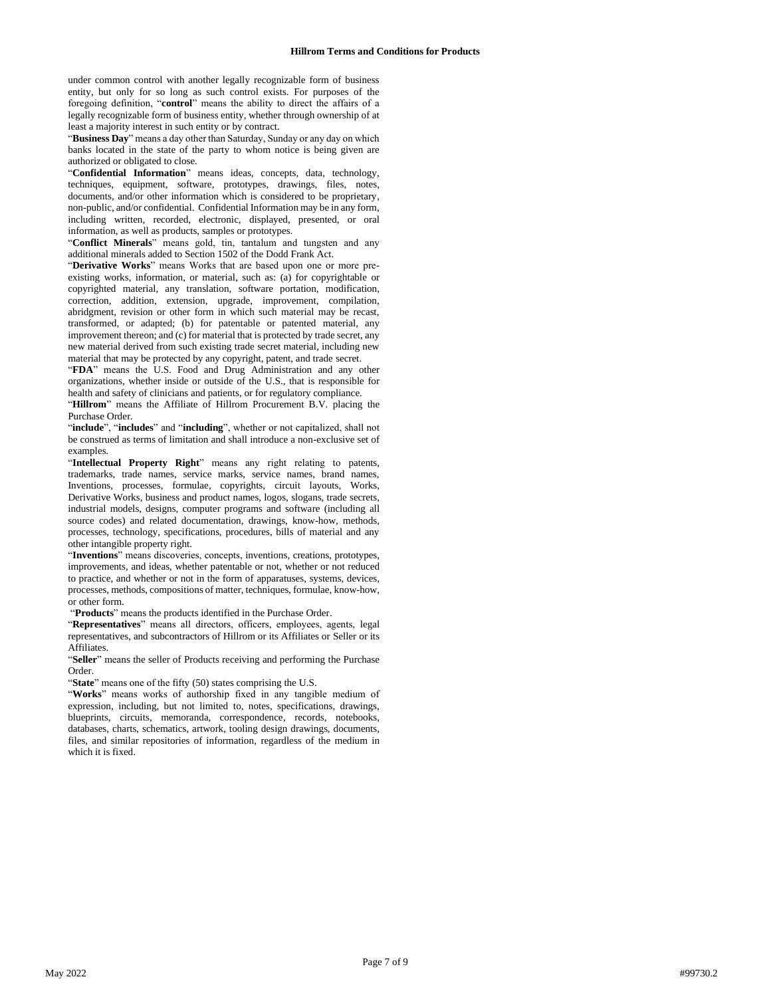under common control with another legally recognizable form of business entity, but only for so long as such control exists. For purposes of the foregoing definition, "**control**" means the ability to direct the affairs of a legally recognizable form of business entity, whether through ownership of at least a majority interest in such entity or by contract.

"**Business Day**" means a day other than Saturday, Sunday or any day on which banks located in the state of the party to whom notice is being given are authorized or obligated to close.

"**Confidential Information**" means ideas, concepts, data, technology, techniques, equipment, software, prototypes, drawings, files, notes, documents, and/or other information which is considered to be proprietary, non-public, and/or confidential. Confidential Information may be in any form, including written, recorded, electronic, displayed, presented, or oral information, as well as products, samples or prototypes.

"**Conflict Minerals**" means gold, tin, tantalum and tungsten and any additional minerals added to Section 1502 of the Dodd Frank Act.

"**Derivative Works**" means Works that are based upon one or more preexisting works, information, or material, such as: (a) for copyrightable or copyrighted material, any translation, software portation, modification, correction, addition, extension, upgrade, improvement, compilation, abridgment, revision or other form in which such material may be recast, transformed, or adapted; (b) for patentable or patented material, any improvement thereon; and (c) for material that is protected by trade secret, any new material derived from such existing trade secret material, including new material that may be protected by any copyright, patent, and trade secret.

"**FDA**" means the U.S. Food and Drug Administration and any other organizations, whether inside or outside of the U.S., that is responsible for health and safety of clinicians and patients, or for regulatory compliance.

"**Hillrom**" means the Affiliate of Hillrom Procurement B.V. placing the Purchase Order.

"include", "includes" and "including", whether or not capitalized, shall not be construed as terms of limitation and shall introduce a non-exclusive set of examples.

"**Intellectual Property Right**" means any right relating to patents, trademarks, trade names, service marks, service names, brand names, Inventions, processes, formulae, copyrights, circuit layouts, Works, Derivative Works, business and product names, logos, slogans, trade secrets, industrial models, designs, computer programs and software (including all source codes) and related documentation, drawings, know-how, methods, processes, technology, specifications, procedures, bills of material and any other intangible property right.

"**Inventions**" means discoveries, concepts, inventions, creations, prototypes, improvements, and ideas, whether patentable or not, whether or not reduced to practice, and whether or not in the form of apparatuses, systems, devices, processes, methods, compositions of matter, techniques, formulae, know-how, or other form.

"**Products**" means the products identified in the Purchase Order.

"**Representatives**" means all directors, officers, employees, agents, legal representatives, and subcontractors of Hillrom or its Affiliates or Seller or its Affiliates.

"**Seller**" means the seller of Products receiving and performing the Purchase Order.

"State" means one of the fifty (50) states comprising the U.S.

"**Works**" means works of authorship fixed in any tangible medium of expression, including, but not limited to, notes, specifications, drawings, blueprints, circuits, memoranda, correspondence, records, notebooks, databases, charts, schematics, artwork, tooling design drawings, documents, files, and similar repositories of information, regardless of the medium in which it is fixed.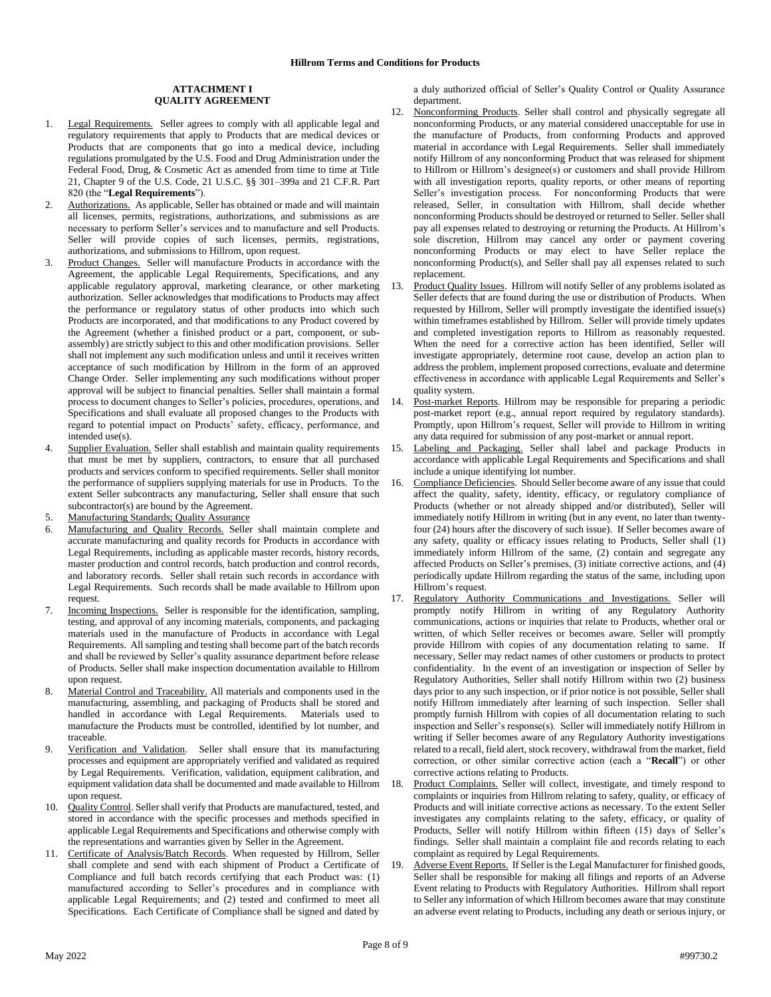#### **ATTACHMENT I QUALITY AGREEMENT**

- 1. Legal Requirements. Seller agrees to comply with all applicable legal and regulatory requirements that apply to Products that are medical devices or Products that are components that go into a medical device, including regulations promulgated by the U.S. Food and Drug Administration under the Federal Food, Drug, & Cosmetic Act as amended from time to time at Title 21, Chapter 9 of the U.S. Code, 21 U.S.C. §§ 301–399a and 21 C.F.R. Part 820 (the "**Legal Requirements**").
- Authorizations. As applicable, Seller has obtained or made and will maintain all licenses, permits, registrations, authorizations, and submissions as are necessary to perform Seller's services and to manufacture and sell Products. Seller will provide copies of such licenses, permits, registrations, authorizations, and submissions to Hillrom, upon request.
- 3. Product Changes. Seller will manufacture Products in accordance with the Agreement, the applicable Legal Requirements, Specifications, and any applicable regulatory approval, marketing clearance, or other marketing authorization. Seller acknowledges that modifications to Products may affect the performance or regulatory status of other products into which such Products are incorporated, and that modifications to any Product covered by the Agreement (whether a finished product or a part, component, or subassembly) are strictly subject to this and other modification provisions. Seller shall not implement any such modification unless and until it receives written acceptance of such modification by Hillrom in the form of an approved Change Order. Seller implementing any such modifications without proper approval will be subject to financial penalties. Seller shall maintain a formal process to document changes to Seller's policies, procedures, operations, and Specifications and shall evaluate all proposed changes to the Products with regard to potential impact on Products' safety, efficacy, performance, and intended use(s).
- Supplier Evaluation. Seller shall establish and maintain quality requirements that must be met by suppliers, contractors, to ensure that all purchased products and services conform to specified requirements. Seller shall monitor the performance of suppliers supplying materials for use in Products. To the extent Seller subcontracts any manufacturing, Seller shall ensure that such subcontractor(s) are bound by the Agreement.
- 5. Manufacturing Standards; Quality Assurance
- 6. Manufacturing and Quality Records. Seller shall maintain complete and accurate manufacturing and quality records for Products in accordance with Legal Requirements, including as applicable master records, history records, master production and control records, batch production and control records, and laboratory records. Seller shall retain such records in accordance with Legal Requirements. Such records shall be made available to Hillrom upon request.
- 7. Incoming Inspections. Seller is responsible for the identification, sampling, testing, and approval of any incoming materials, components, and packaging materials used in the manufacture of Products in accordance with Legal Requirements. All sampling and testing shall become part of the batch records and shall be reviewed by Seller's quality assurance department before release of Products. Seller shall make inspection documentation available to Hillrom upon request.
- 8. Material Control and Traceability. All materials and components used in the manufacturing, assembling, and packaging of Products shall be stored and handled in accordance with Legal Requirements. Materials used to manufacture the Products must be controlled, identified by lot number, and traceable.
- 9. Verification and Validation. Seller shall ensure that its manufacturing processes and equipment are appropriately verified and validated as required by Legal Requirements. Verification, validation, equipment calibration, and equipment validation data shall be documented and made available to Hillrom upon request.
- 10. Quality Control. Seller shall verify that Products are manufactured, tested, and stored in accordance with the specific processes and methods specified in applicable Legal Requirements and Specifications and otherwise comply with the representations and warranties given by Seller in the Agreement.
- 11. Certificate of Analysis/Batch Records. When requested by Hillrom, Seller shall complete and send with each shipment of Product a Certificate of Compliance and full batch records certifying that each Product was: (1) manufactured according to Seller's procedures and in compliance with applicable Legal Requirements; and (2) tested and confirmed to meet all Specifications. Each Certificate of Compliance shall be signed and dated by

a duly authorized official of Seller's Quality Control or Quality Assurance department.

- 12. Nonconforming Products. Seller shall control and physically segregate all nonconforming Products, or any material considered unacceptable for use in the manufacture of Products, from conforming Products and approved material in accordance with Legal Requirements. Seller shall immediately notify Hillrom of any nonconforming Product that was released for shipment to Hillrom or Hillrom's designee(s) or customers and shall provide Hillrom with all investigation reports, quality reports, or other means of reporting Seller's investigation process. For nonconforming Products that were released, Seller, in consultation with Hillrom, shall decide whether nonconforming Products should be destroyed or returned to Seller. Seller shall pay all expenses related to destroying or returning the Products. At Hillrom's sole discretion, Hillrom may cancel any order or payment covering nonconforming Products or may elect to have Seller replace the nonconforming Product(s), and Seller shall pay all expenses related to such replacement.
- 13. Product Quality Issues. Hillrom will notify Seller of any problems isolated as Seller defects that are found during the use or distribution of Products. When requested by Hillrom, Seller will promptly investigate the identified issue(s) within timeframes established by Hillrom. Seller will provide timely updates and completed investigation reports to Hillrom as reasonably requested. When the need for a corrective action has been identified, Seller will investigate appropriately, determine root cause, develop an action plan to address the problem, implement proposed corrections, evaluate and determine effectiveness in accordance with applicable Legal Requirements and Seller's quality system.
- 14. Post-market Reports. Hillrom may be responsible for preparing a periodic post-market report (e.g., annual report required by regulatory standards). Promptly, upon Hillrom's request, Seller will provide to Hillrom in writing any data required for submission of any post-market or annual report.
- 15. Labeling and Packaging. Seller shall label and package Products in accordance with applicable Legal Requirements and Specifications and shall include a unique identifying lot number.
- 16. Compliance Deficiencies. Should Seller become aware of any issue that could affect the quality, safety, identity, efficacy, or regulatory compliance of Products (whether or not already shipped and/or distributed), Seller will immediately notify Hillrom in writing (but in any event, no later than twentyfour (24) hours after the discovery of such issue). If Seller becomes aware of any safety, quality or efficacy issues relating to Products, Seller shall (1) immediately inform Hillrom of the same, (2) contain and segregate any affected Products on Seller's premises, (3) initiate corrective actions, and (4) periodically update Hillrom regarding the status of the same, including upon Hillrom's request.
- 17. Regulatory Authority Communications and Investigations. Seller will promptly notify Hillrom in writing of any Regulatory Authority communications, actions or inquiries that relate to Products, whether oral or written, of which Seller receives or becomes aware. Seller will promptly provide Hillrom with copies of any documentation relating to same. If necessary, Seller may redact names of other customers or products to protect confidentiality. In the event of an investigation or inspection of Seller by Regulatory Authorities, Seller shall notify Hillrom within two (2) business days prior to any such inspection, or if prior notice is not possible, Seller shall notify Hillrom immediately after learning of such inspection. Seller shall promptly furnish Hillrom with copies of all documentation relating to such inspection and Seller's response(s). Seller will immediately notify Hillrom in writing if Seller becomes aware of any Regulatory Authority investigations related to a recall, field alert, stock recovery, withdrawal from the market, field correction, or other similar corrective action (each a "**Recall**") or other corrective actions relating to Products.
- 18. Product Complaints. Seller will collect, investigate, and timely respond to complaints or inquiries from Hillrom relating to safety, quality, or efficacy of Products and will initiate corrective actions as necessary. To the extent Seller investigates any complaints relating to the safety, efficacy, or quality of Products, Seller will notify Hillrom within fifteen (15) days of Seller's findings. Seller shall maintain a complaint file and records relating to each complaint as required by Legal Requirements.
- 19. Adverse Event Reports. If Seller is the Legal Manufacturer for finished goods, Seller shall be responsible for making all filings and reports of an Adverse Event relating to Products with Regulatory Authorities. Hillrom shall report to Seller any information of which Hillrom becomes aware that may constitute an adverse event relating to Products, including any death or serious injury, or